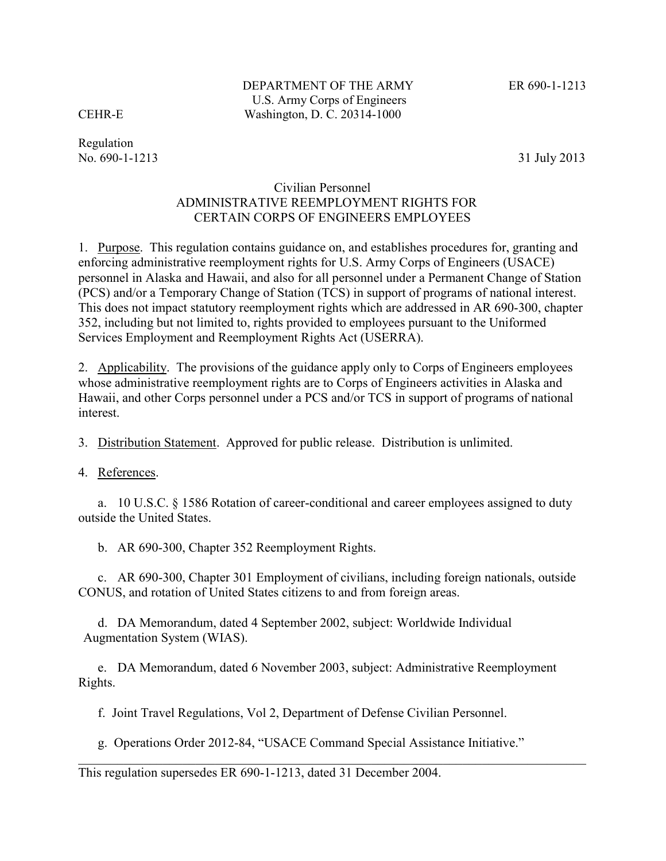Regulation No. 690-1-1213 31 July 2013

## Civilian Personnel ADMINISTRATIVE REEMPLOYMENT RIGHTS FOR CERTAIN CORPS OF ENGINEERS EMPLOYEES

1. Purpose. This regulation contains guidance on, and establishes procedures for, granting and enforcing administrative reemployment rights for U.S. Army Corps of Engineers (USACE) personnel in Alaska and Hawaii, and also for all personnel under a Permanent Change of Station (PCS) and/or a Temporary Change of Station (TCS) in support of programs of national interest. This does not impact statutory reemployment rights which are addressed in AR 690-300, chapter 352, including but not limited to, rights provided to employees pursuant to the Uniformed Services Employment and Reemployment Rights Act (USERRA).

2. Applicability. The provisions of the guidance apply only to Corps of Engineers employees whose administrative reemployment rights are to Corps of Engineers activities in Alaska and Hawaii, and other Corps personnel under a PCS and/or TCS in support of programs of national interest.

3. Distribution Statement. Approved for public release. Distribution is unlimited.

4. References.

a. 10 U.S.C. § 1586 Rotation of career-conditional and career employees assigned to duty outside the United States.

b. AR 690-300, Chapter 352 Reemployment Rights.

c. AR 690-300, Chapter 301 Employment of civilians, including foreign nationals, outside CONUS, and rotation of United States citizens to and from foreign areas.

d. DA Memorandum, dated 4 September 2002, subject: Worldwide Individual Augmentation System (WIAS).

e. DA Memorandum, dated 6 November 2003, subject: Administrative Reemployment Rights.

f. Joint Travel Regulations, Vol 2, Department of Defense Civilian Personnel.

g. Operations Order 2012-84, "USACE Command Special Assistance Initiative."

This regulation supersedes ER 690-1-1213, dated 31 December 2004.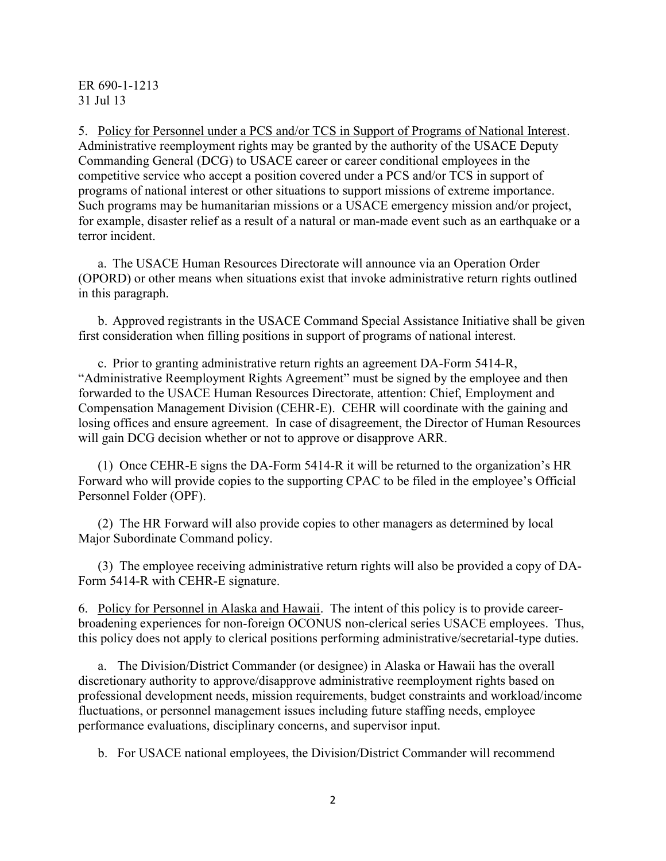5. Policy for Personnel under a PCS and/or TCS in Support of Programs of National Interest. Administrative reemployment rights may be granted by the authority of the USACE Deputy Commanding General (DCG) to USACE career or career conditional employees in the competitive service who accept a position covered under a PCS and/or TCS in support of programs of national interest or other situations to support missions of extreme importance. Such programs may be humanitarian missions or a USACE emergency mission and/or project, for example, disaster relief as a result of a natural or man-made event such as an earthquake or a terror incident.

a. The USACE Human Resources Directorate will announce via an Operation Order (OPORD) or other means when situations exist that invoke administrative return rights outlined in this paragraph.

b. Approved registrants in the USACE Command Special Assistance Initiative shall be given first consideration when filling positions in support of programs of national interest.

c. Prior to granting administrative return rights an agreement DA-Form 5414-R, "Administrative Reemployment Rights Agreement" must be signed by the employee and then forwarded to the USACE Human Resources Directorate, attention: Chief, Employment and Compensation Management Division (CEHR-E). CEHR will coordinate with the gaining and losing offices and ensure agreement. In case of disagreement, the Director of Human Resources will gain DCG decision whether or not to approve or disapprove ARR.

(1) Once CEHR-E signs the DA-Form 5414-R it will be returned to the organization's HR Forward who will provide copies to the supporting CPAC to be filed in the employee's Official Personnel Folder (OPF).

(2) The HR Forward will also provide copies to other managers as determined by local Major Subordinate Command policy.

(3) The employee receiving administrative return rights will also be provided a copy of DA-Form 5414-R with CEHR-E signature.

6. Policy for Personnel in Alaska and Hawaii. The intent of this policy is to provide careerbroadening experiences for non-foreign OCONUS non-clerical series USACE employees. Thus, this policy does not apply to clerical positions performing administrative/secretarial-type duties.

a. The Division/District Commander (or designee) in Alaska or Hawaii has the overall discretionary authority to approve/disapprove administrative reemployment rights based on professional development needs, mission requirements, budget constraints and workload/income fluctuations, or personnel management issues including future staffing needs, employee performance evaluations, disciplinary concerns, and supervisor input.

b. For USACE national employees, the Division/District Commander will recommend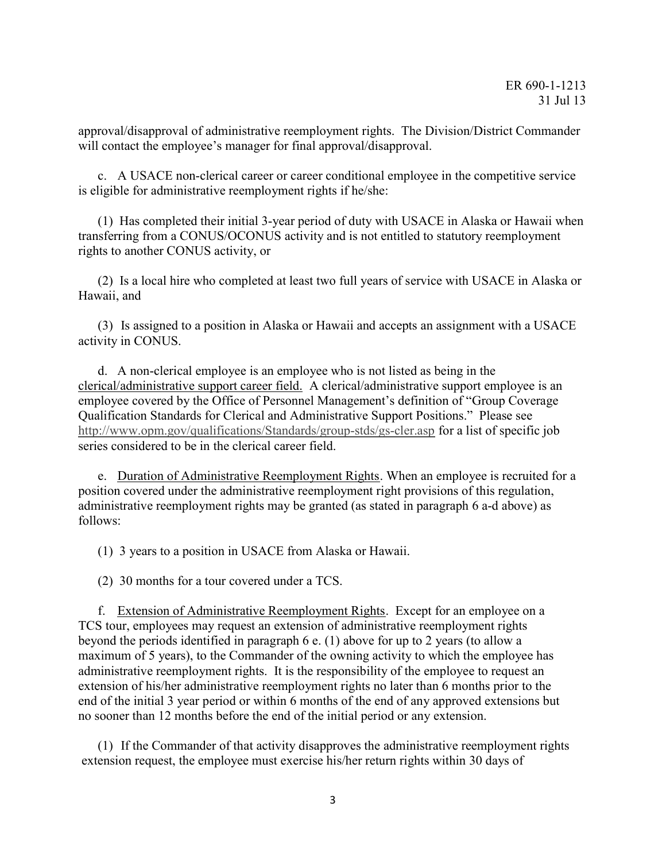approval/disapproval of administrative reemployment rights. The Division/District Commander will contact the employee's manager for final approval/disapproval.

c. A USACE non-clerical career or career conditional employee in the competitive service is eligible for administrative reemployment rights if he/she:

(1) Has completed their initial 3-year period of duty with USACE in Alaska or Hawaii when transferring from a CONUS/OCONUS activity and is not entitled to statutory reemployment rights to another CONUS activity, or

(2) Is a local hire who completed at least two full years of service with USACE in Alaska or Hawaii, and

(3) Is assigned to a position in Alaska or Hawaii and accepts an assignment with a USACE activity in CONUS.

d. A non-clerical employee is an employee who is not listed as being in the clerical/administrative support career field. A clerical/administrative support employee is an employee covered by the Office of Personnel Management's definition of "Group Coverage Qualification Standards for Clerical and Administrative Support Positions." Please see http://www.opm.gov/qualifications/Standards/group-stds/gs-cler.asp for a list of specific job series considered to be in the clerical career field.

e. Duration of Administrative Reemployment Rights. When an employee is recruited for a position covered under the administrative reemployment right provisions of this regulation, administrative reemployment rights may be granted (as stated in paragraph 6 a-d above) as follows:

(1) 3 years to a position in USACE from Alaska or Hawaii.

(2) 30 months for a tour covered under a TCS.

f. Extension of Administrative Reemployment Rights. Except for an employee on a TCS tour, employees may request an extension of administrative reemployment rights beyond the periods identified in paragraph 6 e. (1) above for up to 2 years (to allow a maximum of 5 years), to the Commander of the owning activity to which the employee has administrative reemployment rights. It is the responsibility of the employee to request an extension of his/her administrative reemployment rights no later than 6 months prior to the end of the initial 3 year period or within 6 months of the end of any approved extensions but no sooner than 12 months before the end of the initial period or any extension.

(1) If the Commander of that activity disapproves the administrative reemployment rights extension request, the employee must exercise his/her return rights within 30 days of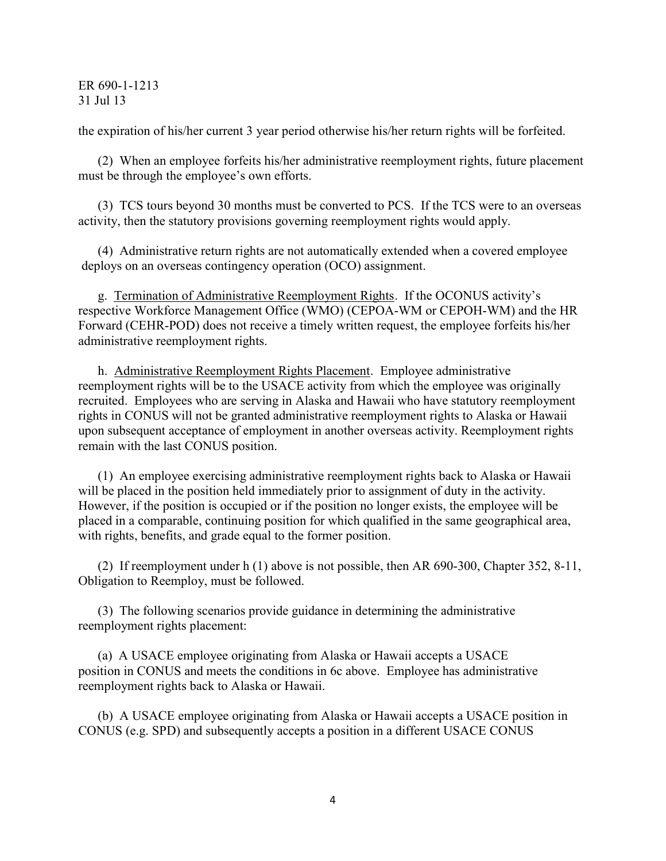the expiration of his/her current 3 year period otherwise his/her return rights will be forfeited.

(2) When an employee forfeits his/her administrative reemployment rights, future placement must be through the employee's own efforts.

(3) TCS tours beyond 30 months must be converted to PCS. If the TCS were to an overseas activity, then the statutory provisions governing reemployment rights would apply.

(4) Administrative return rights are not automatically extended when a covered employee deploys on an overseas contingency operation (OCO) assignment.

g. Termination of Administrative Reemployment Rights. If the OCONUS activity's respective Workforce Management Office (WMO) (CEPOA-WM or CEPOH-WM) and the HR Forward (CEHR-POD) does not receive a timely written request, the employee forfeits his/her administrative reemployment rights.

h. Administrative Reemployment Rights Placement. Employee administrative reemployment rights will be to the USACE activity from which the employee was originally recruited. Employees who are serving in Alaska and Hawaii who have statutory reemployment rights in CONUS will not be granted administrative reemployment rights to Alaska or Hawaii upon subsequent acceptance of employment in another overseas activity. Reemployment rights remain with the last CONUS position.

(1) An employee exercising administrative reemployment rights back to Alaska or Hawaii will be placed in the position held immediately prior to assignment of duty in the activity. However, if the position is occupied or if the position no longer exists, the employee will be placed in a comparable, continuing position for which qualified in the same geographical area, with rights, benefits, and grade equal to the former position.

(2) If reemployment under h (1) above is not possible, then AR 690-300, Chapter 352, 8-11, Obligation to Reemploy, must be followed.

(3) The following scenarios provide guidance in determining the administrative reemployment rights placement:

(a) A USACE employee originating from Alaska or Hawaii accepts a USACE position in CONUS and meets the conditions in 6c above. Employee has administrative reemployment rights back to Alaska or Hawaii.

(b) A USACE employee originating from Alaska or Hawaii accepts a USACE position in CONUS (e.g. SPD) and subsequently accepts a position in a different USACE CONUS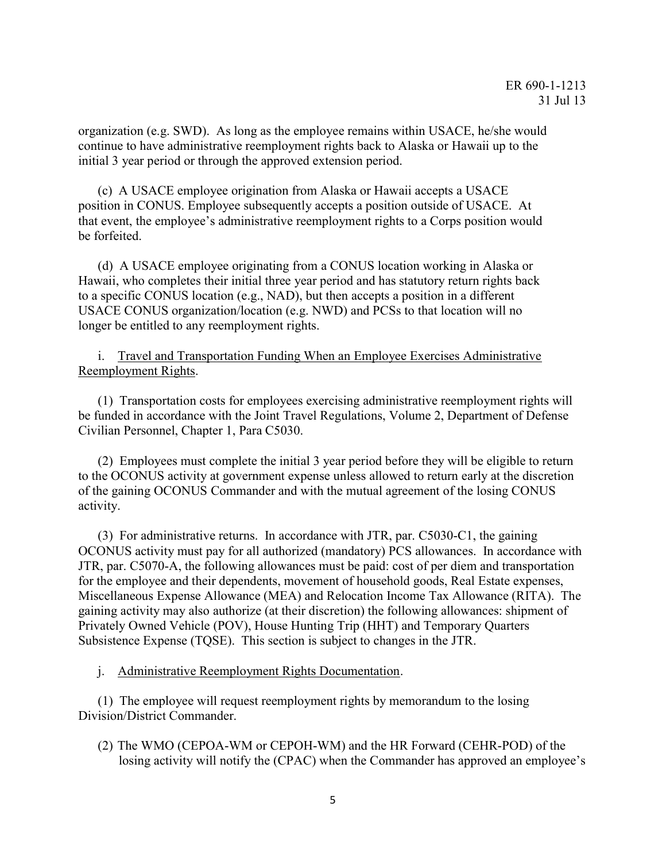organization (e.g. SWD). As long as the employee remains within USACE, he/she would continue to have administrative reemployment rights back to Alaska or Hawaii up to the initial 3 year period or through the approved extension period.

(c) A USACE employee origination from Alaska or Hawaii accepts a USACE position in CONUS. Employee subsequently accepts a position outside of USACE. At that event, the employee's administrative reemployment rights to a Corps position would be forfeited.

(d) A USACE employee originating from a CONUS location working in Alaska or Hawaii, who completes their initial three year period and has statutory return rights back to a specific CONUS location (e.g., NAD), but then accepts a position in a different USACE CONUS organization/location (e.g. NWD) and PCSs to that location will no longer be entitled to any reemployment rights.

i. Travel and Transportation Funding When an Employee Exercises Administrative Reemployment Rights.

(1) Transportation costs for employees exercising administrative reemployment rights will be funded in accordance with the Joint Travel Regulations, Volume 2, Department of Defense Civilian Personnel, Chapter 1, Para C5030.

(2) Employees must complete the initial 3 year period before they will be eligible to return to the OCONUS activity at government expense unless allowed to return early at the discretion of the gaining OCONUS Commander and with the mutual agreement of the losing CONUS activity.

(3) For administrative returns. In accordance with JTR, par. C5030-C1, the gaining OCONUS activity must pay for all authorized (mandatory) PCS allowances. In accordance with JTR, par. C5070-A, the following allowances must be paid: cost of per diem and transportation for the employee and their dependents, movement of household goods, Real Estate expenses, Miscellaneous Expense Allowance (MEA) and Relocation Income Tax Allowance (RITA). The gaining activity may also authorize (at their discretion) the following allowances: shipment of Privately Owned Vehicle (POV), House Hunting Trip (HHT) and Temporary Quarters Subsistence Expense (TQSE). This section is subject to changes in the JTR.

j. Administrative Reemployment Rights Documentation.

(1) The employee will request reemployment rights by memorandum to the losing Division/District Commander.

(2) The WMO (CEPOA-WM or CEPOH-WM) and the HR Forward (CEHR-POD) of the losing activity will notify the (CPAC) when the Commander has approved an employee's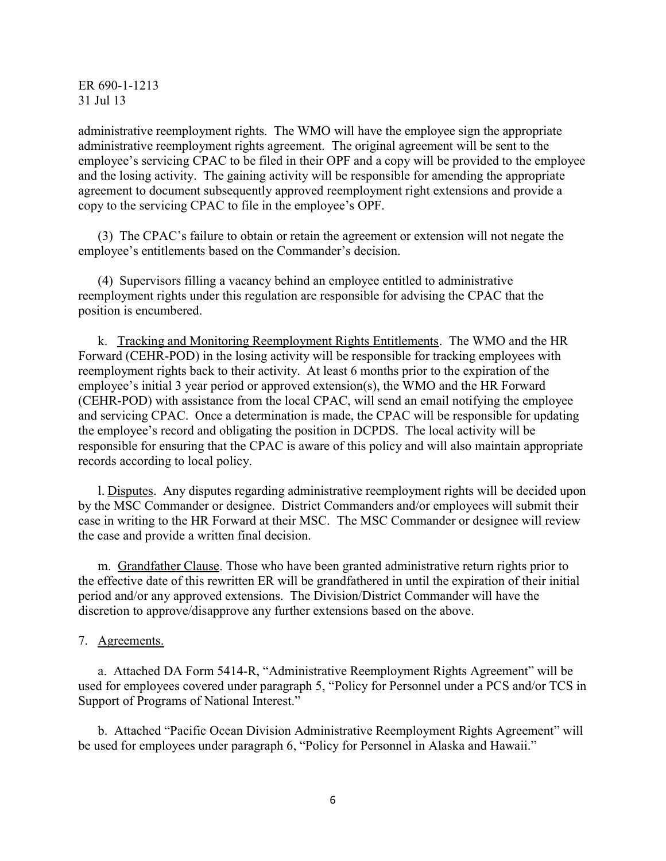administrative reemployment rights. The WMO will have the employee sign the appropriate administrative reemployment rights agreement. The original agreement will be sent to the employee's servicing CPAC to be filed in their OPF and a copy will be provided to the employee and the losing activity. The gaining activity will be responsible for amending the appropriate agreement to document subsequently approved reemployment right extensions and provide a copy to the servicing CPAC to file in the employee's OPF.

(3) The CPAC's failure to obtain or retain the agreement or extension will not negate the employee's entitlements based on the Commander's decision.

(4) Supervisors filling a vacancy behind an employee entitled to administrative reemployment rights under this regulation are responsible for advising the CPAC that the position is encumbered.

k. Tracking and Monitoring Reemployment Rights Entitlements. The WMO and the HR Forward (CEHR-POD) in the losing activity will be responsible for tracking employees with reemployment rights back to their activity. At least 6 months prior to the expiration of the employee's initial 3 year period or approved extension(s), the WMO and the HR Forward (CEHR-POD) with assistance from the local CPAC, will send an email notifying the employee and servicing CPAC. Once a determination is made, the CPAC will be responsible for updating the employee's record and obligating the position in DCPDS. The local activity will be responsible for ensuring that the CPAC is aware of this policy and will also maintain appropriate records according to local policy.

l. Disputes. Any disputes regarding administrative reemployment rights will be decided upon by the MSC Commander or designee. District Commanders and/or employees will submit their case in writing to the HR Forward at their MSC. The MSC Commander or designee will review the case and provide a written final decision.

m. Grandfather Clause. Those who have been granted administrative return rights prior to the effective date of this rewritten ER will be grandfathered in until the expiration of their initial period and/or any approved extensions. The Division/District Commander will have the discretion to approve/disapprove any further extensions based on the above.

7. Agreements.

a. Attached DA Form 5414-R, "Administrative Reemployment Rights Agreement" will be used for employees covered under paragraph 5, "Policy for Personnel under a PCS and/or TCS in Support of Programs of National Interest."

b. Attached "Pacific Ocean Division Administrative Reemployment Rights Agreement" will be used for employees under paragraph 6, "Policy for Personnel in Alaska and Hawaii."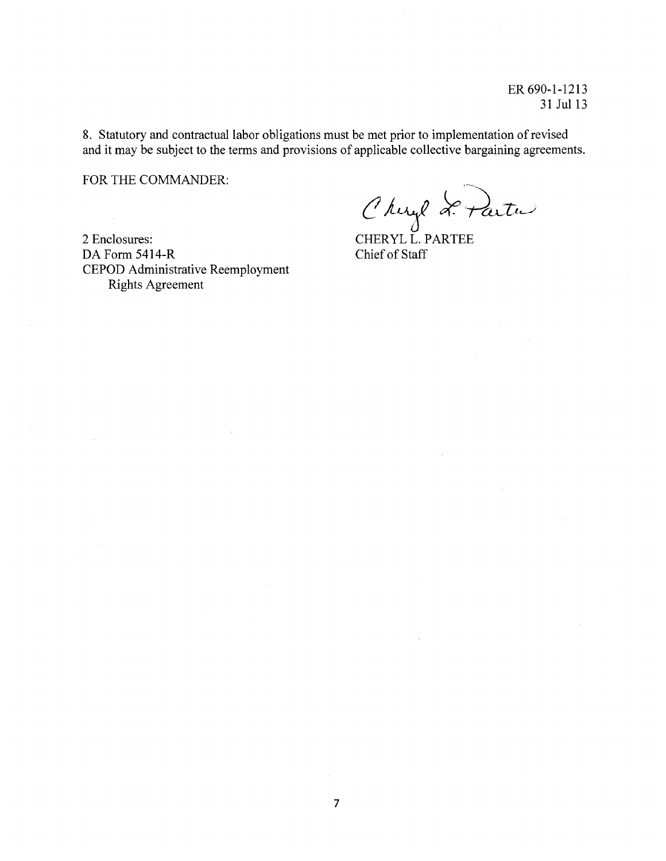8. Statutory and contractual labor obligations must be met prior to implementation of revised and it may be subject to the terms and provisions of applicable collective bargaining agreements.

FOR THE COMMANDER:

2 Enclosures: DA Form 5414-R **CEPOD Administrative Reemployment Rights Agreement** 

Chirel Le Partu

Chief of Staff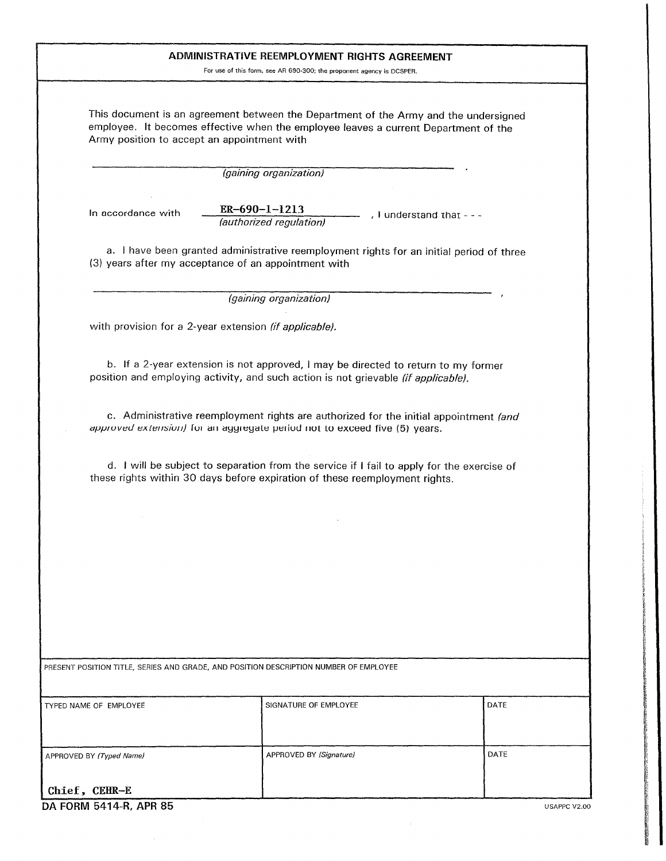|                                                                                                                                                                                                                            | ADMINISTRATIVE REEMPLOYMENT RIGHTS AGREEMENT                                               |              |
|----------------------------------------------------------------------------------------------------------------------------------------------------------------------------------------------------------------------------|--------------------------------------------------------------------------------------------|--------------|
|                                                                                                                                                                                                                            | For use of this form, see AR 690-300; the proponent agency is DCSPER.                      |              |
| This document is an agreement between the Department of the Army and the undersigned<br>employee. It becomes effective when the employee leaves a current Department of the<br>Army position to accept an appointment with |                                                                                            |              |
|                                                                                                                                                                                                                            | (gaining organization)                                                                     |              |
| $ER-690-1-1213$<br>In accordance with                                                                                                                                                                                      | , I understand that - - -<br>(authorized regulation)                                       |              |
| (3) years after my acceptance of an appointment with                                                                                                                                                                       | a. I have been granted administrative reemployment rights for an initial period of three   |              |
|                                                                                                                                                                                                                            | (gaining organization)                                                                     |              |
| with provision for a 2-year extension (if applicable).                                                                                                                                                                     |                                                                                            |              |
| position and employing activity, and such action is not grievable (if applicable).                                                                                                                                         | b. If a 2-year extension is not approved, I may be directed to return to my former         |              |
| approved extension) for an aggregate period not to exceed five (5) years.                                                                                                                                                  | c. Administrative reemployment rights are authorized for the initial appointment (and      |              |
| these rights within 30 days before expiration of these reemployment rights.                                                                                                                                                | d. I will be subject to separation from the service if I fail to apply for the exercise of |              |
|                                                                                                                                                                                                                            |                                                                                            |              |
|                                                                                                                                                                                                                            |                                                                                            |              |
|                                                                                                                                                                                                                            |                                                                                            |              |
|                                                                                                                                                                                                                            |                                                                                            |              |
|                                                                                                                                                                                                                            |                                                                                            |              |
|                                                                                                                                                                                                                            |                                                                                            |              |
| PRESENT POSITION TITLE, SERIES AND GRADE, AND POSITION DESCRIPTION NUMBER OF EMPLOYEE                                                                                                                                      |                                                                                            |              |
| TYPED NAME OF EMPLOYEE                                                                                                                                                                                                     | SIGNATURE OF EMPLOYEE                                                                      | DATE         |
| APPROVED BY (Typed Name)                                                                                                                                                                                                   | APPROVED BY (Signature)                                                                    | DATE         |
| Chief, CEHR-E<br>DA FORM 5414-R, APR 85                                                                                                                                                                                    |                                                                                            | USAPPC V2.00 |